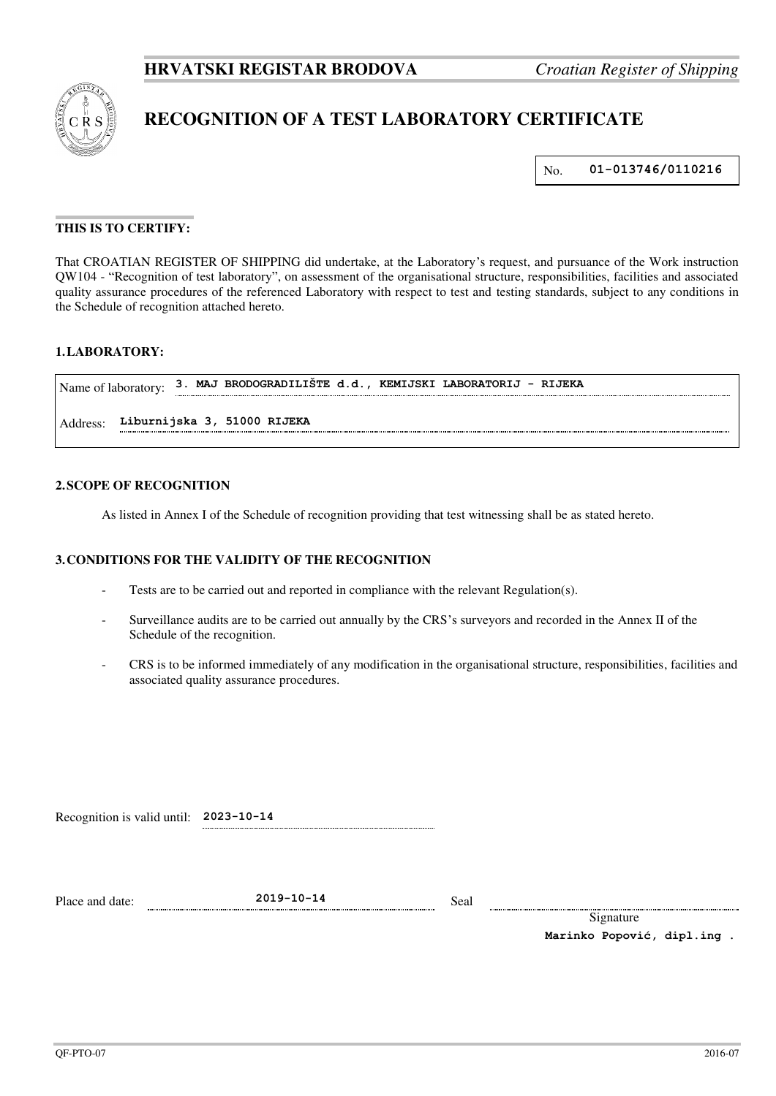

# **RECOGNITION OF A TEST LABORATORY CERTIFICATE**

No. **01-013746/0110216**

## **THIS IS TO CERTIFY:**

That CROATIAN REGISTER OF SHIPPING did undertake, at the Laboratory's request, and pursuance of the Work instruction QW104 - "Recognition of test laboratory", on assessment of the organisational structure, responsibilities, facilities and associated quality assurance procedures of the referenced Laboratory with respect to test and testing standards, subject to any conditions in the Schedule of recognition attached hereto.

# **1. LABORATORY:**

| Name of laboratory:                     |  |  |  | 3. MAJ BRODOGRADILISTE d.d., KEMIJSKI LABORATORIJ | - RIJEKA |
|-----------------------------------------|--|--|--|---------------------------------------------------|----------|
| Liburnijska 3, 51000 RIJEKA<br>Address: |  |  |  |                                                   |          |

#### **2. SCOPE OF RECOGNITION**

As listed in Annex I of the Schedule of recognition providing that test witnessing shall be as stated hereto.

#### **3. CONDITIONS FOR THE VALIDITY OF THE RECOGNITION**

- Tests are to be carried out and reported in compliance with the relevant Regulation(s).
- Surveillance audits are to be carried out annually by the CRS's surveyors and recorded in the Annex II of the Schedule of the recognition.
- CRS is to be informed immediately of any modification in the organisational structure, responsibilities, facilities and associated quality assurance procedures.

Recognition is valid until: **2023-10-14**

Place and date: **2019-10-14** Seal

Signature  **Marinko Popović, dipl.ing .**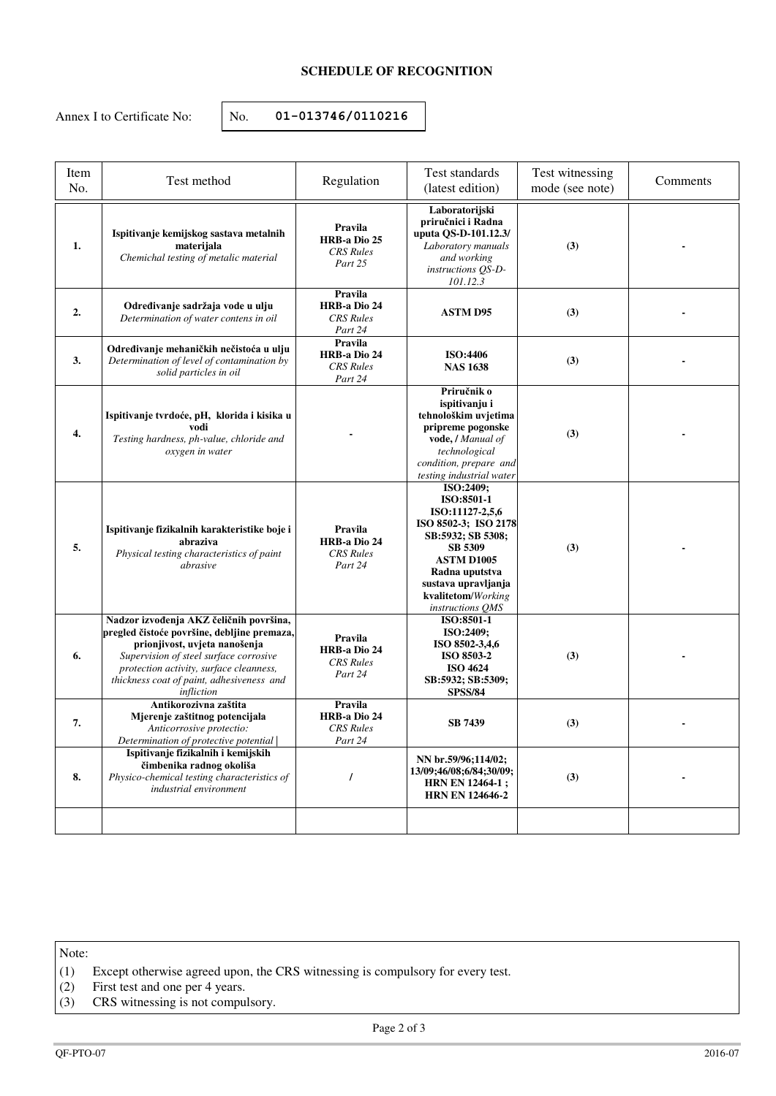# **SCHEDULE OF RECOGNITION**

Annex I to Certificate No:  $\vert$  No. **01-013746/0110216** 

| Item<br>No. | Test method                                                                                                                                                                                                                                                             | Regulation                                                    | Test standards<br>(latest edition)                                                                                                                                                                         | Test witnessing<br>mode (see note) | Comments |
|-------------|-------------------------------------------------------------------------------------------------------------------------------------------------------------------------------------------------------------------------------------------------------------------------|---------------------------------------------------------------|------------------------------------------------------------------------------------------------------------------------------------------------------------------------------------------------------------|------------------------------------|----------|
| 1.          | Ispitivanje kemijskog sastava metalnih<br>materijala<br>Chemichal testing of metalic material                                                                                                                                                                           | Pravila<br>HRB-a Dio 25<br><b>CRS</b> Rules<br>Part 25        | Laboratorijski<br>priručnici i Radna<br>uputa QS-D-101.12.3/<br>Laboratory manuals<br>and working<br>instructions QS-D-<br>101.12.3                                                                        | (3)                                |          |
| 2.          | Određivanje sadržaja vode u ulju<br>Determination of water contens in oil                                                                                                                                                                                               | Pravila<br><b>HRB-a Dio 24</b><br><b>CRS</b> Rules<br>Part 24 | <b>ASTM D95</b>                                                                                                                                                                                            | (3)                                |          |
| 3.          | Određivanje mehaničkih nečistoća u ulju<br>Determination of level of contamination by<br>solid particles in oil                                                                                                                                                         | Pravila<br><b>HRB-a Dio 24</b><br><b>CRS</b> Rules<br>Part 24 | ISO:4406<br><b>NAS 1638</b>                                                                                                                                                                                | (3)                                |          |
| 4.          | Ispitivanje tvrdoće, pH, klorida i kisika u<br>vodi<br>Testing hardness, ph-value, chloride and<br>oxygen in water                                                                                                                                                      |                                                               | Priručnik o<br>ispitivanju i<br>tehnološkim uvjetima<br>pripreme pogonske<br>vode, / Manual of<br>technological<br>condition, prepare and<br>testing industrial water                                      | (3)                                |          |
| 5.          | Ispitivanje fizikalnih karakteristike boje i<br>abraziva<br>Physical testing characteristics of paint<br>abrasive                                                                                                                                                       | Pravila<br><b>HRB-a Dio 24</b><br><b>CRS</b> Rules<br>Part 24 | ISO:2409;<br>ISO:8501-1<br>ISO:11127-2,5,6<br>ISO 8502-3; ISO 2178<br>SB:5932; SB 5308;<br>SB 5309<br><b>ASTM D1005</b><br>Radna uputstva<br>sustava upravljanja<br>kvalitetom/Working<br>instructions QMS | (3)                                |          |
| 6.          | Nadzor izvođenja AKZ čeličnih površina,<br>pregled čistoće površine, debljine premaza,<br>prionjivost, uvjeta nanošenja<br>Supervision of steel surface corrosive<br>protection activity, surface cleanness,<br>thickness coat of paint, adhesiveness and<br>infliction | Pravila<br>HRB-a Dio 24<br><b>CRS</b> Rules<br>Part 24        | ISO:8501-1<br>ISO:2409;<br>ISO 8502-3,4,6<br>ISO 8503-2<br><b>ISO 4624</b><br>SB:5932; SB:5309;<br><b>SPSS/84</b>                                                                                          | (3)                                |          |
| 7.          | Antikorozivna zaštita<br>Mjerenje zaštitnog potencijala<br>Anticorrosive protectio:<br>Determination of protective potential                                                                                                                                            | Pravila<br><b>HRB-a Dio 24</b><br><b>CRS</b> Rules<br>Part 24 | <b>SB 7439</b>                                                                                                                                                                                             | (3)                                |          |
| 8.          | Ispitivanje fizikalnih i kemijskih<br>čimbenika radnog okoliša<br>Physico-chemical testing characteristics of<br>industrial environment                                                                                                                                 | $\prime$                                                      | NN br.59/96;114/02;<br>13/09;46/08;6/84;30/09;<br>HRN EN 12464-1;<br><b>HRN EN 124646-2</b>                                                                                                                | (3)                                |          |
|             |                                                                                                                                                                                                                                                                         |                                                               |                                                                                                                                                                                                            |                                    |          |

Note:

- (1) Except otherwise agreed upon, the CRS witnessing is compulsory for every test.
- (2) First test and one per 4 years.
- (3) CRS witnessing is not compulsory.

Page 2 of 3